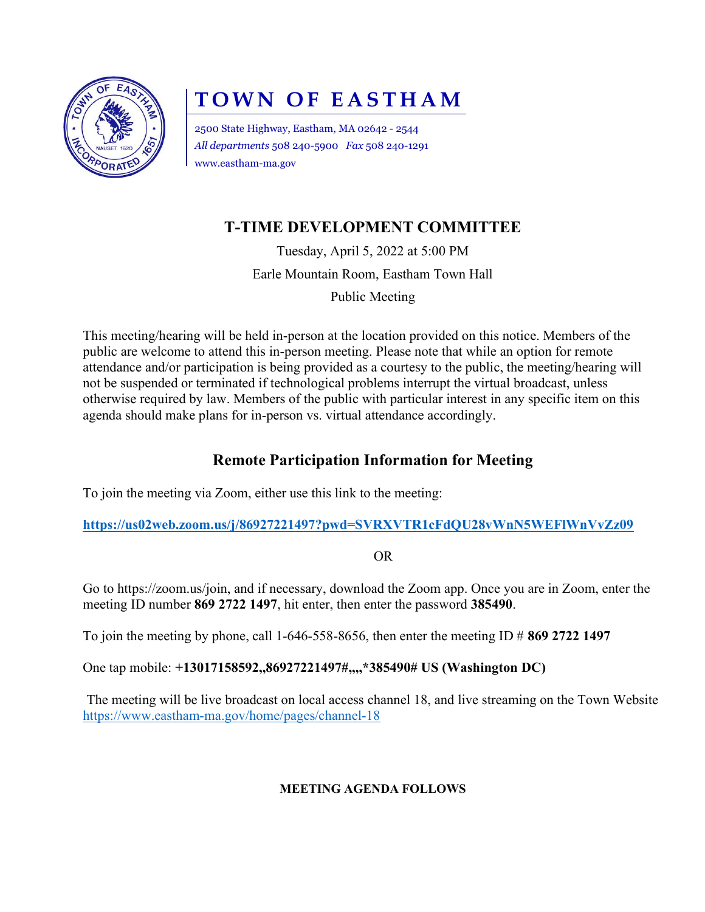

# TOWN OF EASTHAM

2500 State Highway, Eastham, MA 02642 - 2544 All departments 508 240-5900 Fax 508 240-1291 www.eastham-ma.gov

## T-TIME DEVELOPMENT COMMITTEE

Tuesday, April 5, 2022 at 5:00 PM

Earle Mountain Room, Eastham Town Hall

Public Meeting

This meeting/hearing will be held in-person at the location provided on this notice. Members of the public are welcome to attend this in-person meeting. Please note that while an option for remote attendance and/or participation is being provided as a courtesy to the public, the meeting/hearing will not be suspended or terminated if technological problems interrupt the virtual broadcast, unless otherwise required by law. Members of the public with particular interest in any specific item on this agenda should make plans for in-person vs. virtual attendance accordingly.

### Remote Participation Information for Meeting

To join the meeting via Zoom, either use this link to the meeting:

https://us02web.zoom.us/j/86927221497?pwd=SVRXVTR1cFdQU28vWnN5WEFlWnVvZz09

OR

Go to https://zoom.us/join, and if necessary, download the Zoom app. Once you are in Zoom, enter the meeting ID number 869 2722 1497, hit enter, then enter the password 385490.

To join the meeting by phone, call 1-646-558-8656, then enter the meeting ID  $\#$  869 2722 1497

One tap mobile: +13017158592,,86927221497#,,,,\*385490# US (Washington DC)

The meeting will be live broadcast on local access channel 18, and live streaming on the Town Website https://www.eastham-ma.gov/home/pages/channel-18

#### MEETING AGENDA FOLLOWS